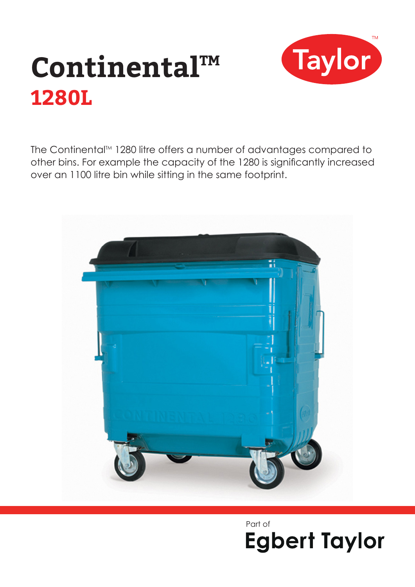

# Continental™ **1280L**

The Continental™ 1280 litre offers a number of advantages compared to other bins. For example the capacity of the 1280 is significantly increased over an 1100 litre bin while sitting in the same footprint.



Part of**Egbert Taylor**